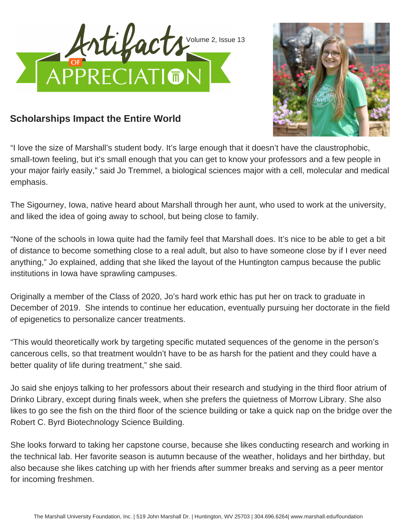



## **Scholarships Impact the Entire World**

"I love the size of Marshall's student body. It's large enough that it doesn't have the claustrophobic, small-town feeling, but it's small enough that you can get to know your professors and a few people in your major fairly easily," said Jo Tremmel, a biological sciences major with a cell, molecular and medical emphasis.

The Sigourney, Iowa, native heard about Marshall through her aunt, who used to work at the university, and liked the idea of going away to school, but being close to family.

"None of the schools in Iowa quite had the family feel that Marshall does. It's nice to be able to get a bit of distance to become something close to a real adult, but also to have someone close by if I ever need anything," Jo explained, adding that she liked the layout of the Huntington campus because the public institutions in Iowa have sprawling campuses.

Originally a member of the Class of 2020, Jo's hard work ethic has put her on track to graduate in December of 2019. She intends to continue her education, eventually pursuing her doctorate in the field of epigenetics to personalize cancer treatments.

"This would theoretically work by targeting specific mutated sequences of the genome in the person's cancerous cells, so that treatment wouldn't have to be as harsh for the patient and they could have a better quality of life during treatment," she said.

Jo said she enjoys talking to her professors about their research and studying in the third floor atrium of Drinko Library, except during finals week, when she prefers the quietness of Morrow Library. She also likes to go see the fish on the third floor of the science building or take a quick nap on the bridge over the Robert C. Byrd Biotechnology Science Building.

She looks forward to taking her capstone course, because she likes conducting research and working in the technical lab. Her favorite season is autumn because of the weather, holidays and her birthday, but also because she likes catching up with her friends after summer breaks and serving as a peer mentor for incoming freshmen.